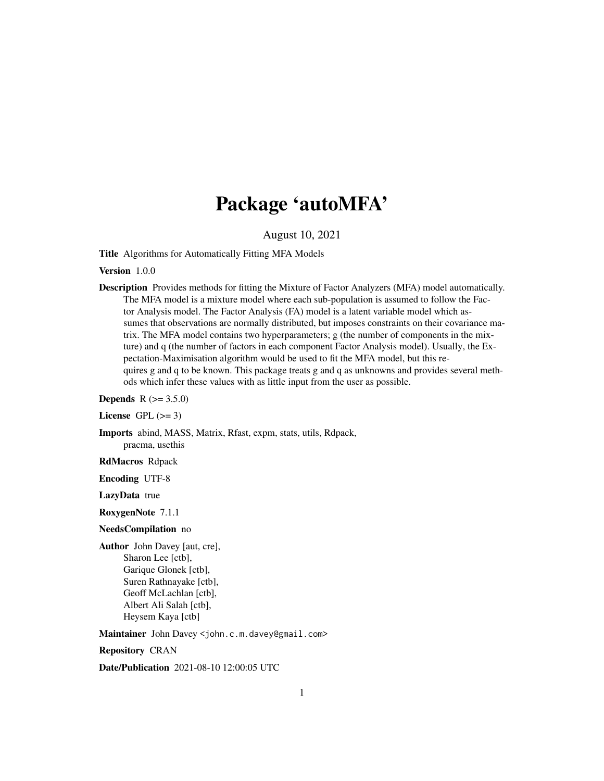## Package 'autoMFA'

August 10, 2021

Title Algorithms for Automatically Fitting MFA Models

Version 1.0.0

Description Provides methods for fitting the Mixture of Factor Analyzers (MFA) model automatically. The MFA model is a mixture model where each sub-population is assumed to follow the Factor Analysis model. The Factor Analysis (FA) model is a latent variable model which assumes that observations are normally distributed, but imposes constraints on their covariance matrix. The MFA model contains two hyperparameters; g (the number of components in the mixture) and q (the number of factors in each component Factor Analysis model). Usually, the Expectation-Maximisation algorithm would be used to fit the MFA model, but this requires g and q to be known. This package treats g and q as unknowns and provides several methods which infer these values with as little input from the user as possible.

**Depends** R  $(>= 3.5.0)$ 

License GPL  $(>= 3)$ 

Imports abind, MASS, Matrix, Rfast, expm, stats, utils, Rdpack, pracma, usethis

RdMacros Rdpack

Encoding UTF-8

LazyData true

RoxygenNote 7.1.1

NeedsCompilation no

Author John Davey [aut, cre], Sharon Lee [ctb], Garique Glonek [ctb], Suren Rathnayake [ctb], Geoff McLachlan [ctb], Albert Ali Salah [ctb], Heysem Kaya [ctb]

Maintainer John Davey <john.c.m.davey@gmail.com>

Repository CRAN

Date/Publication 2021-08-10 12:00:05 UTC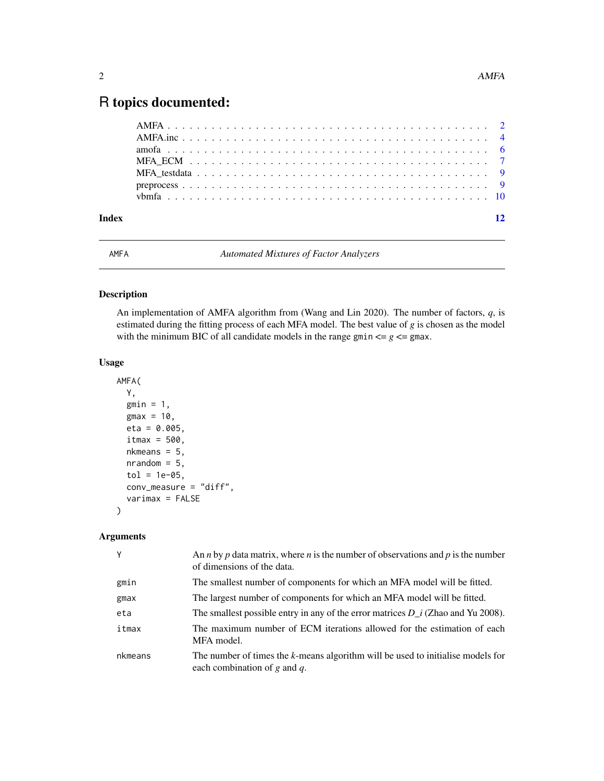## <span id="page-1-0"></span>R topics documented:

| Index |  |  |  |  |  |  |  |  |  |  |  |  |  |  |  |  |  |  | 12 |
|-------|--|--|--|--|--|--|--|--|--|--|--|--|--|--|--|--|--|--|----|

AMFA *Automated Mixtures of Factor Analyzers*

#### Description

An implementation of AMFA algorithm from (Wang and Lin 2020). The number of factors, *q*, is estimated during the fitting process of each MFA model. The best value of *g* is chosen as the model with the minimum BIC of all candidate models in the range gmin  $\leq g \leq g$  max.

#### Usage

```
AMFA(
  Y,
  gmin = 1,
  gmax = 10,
  eta = 0.005,
  itmax = 500,
  nkmeans = 5,
  nrandom = 5,
  tol = 1e-05,conv_measure = "diff",
  varimax = FALSE
)
```
#### Arguments

| Y       | An <i>n</i> by <i>p</i> data matrix, where <i>n</i> is the number of observations and <i>p</i> is the number<br>of dimensions of the data. |
|---------|--------------------------------------------------------------------------------------------------------------------------------------------|
| gmin    | The smallest number of components for which an MFA model will be fitted.                                                                   |
| gmax    | The largest number of components for which an MFA model will be fitted.                                                                    |
| eta     | The smallest possible entry in any of the error matrices $D_i$ (Zhao and Yu 2008).                                                         |
| itmax   | The maximum number of ECM iterations allowed for the estimation of each<br>MFA model.                                                      |
| nkmeans | The number of times the k-means algorithm will be used to initialise models for<br>each combination of $g$ and $q$ .                       |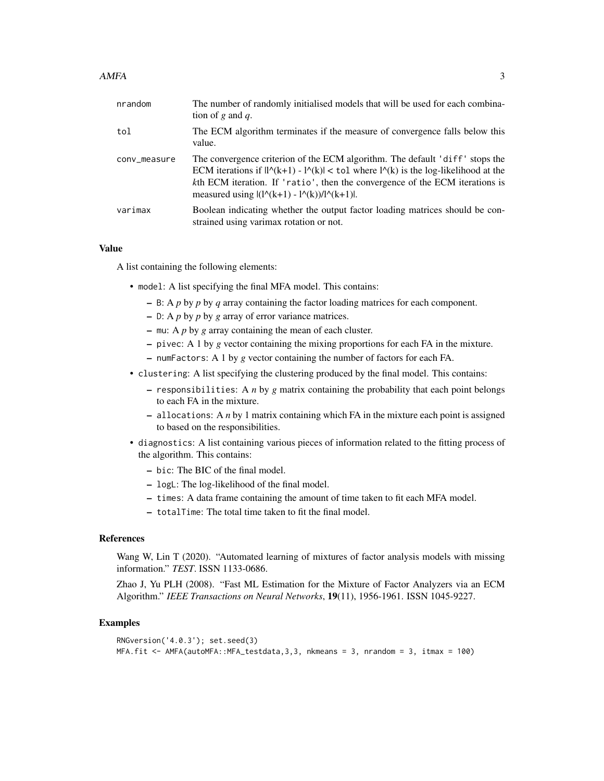| nrandom      | The number of randomly initialised models that will be used for each combina-<br>tion of g and q.                                                                                                                                                                                                                                                                 |
|--------------|-------------------------------------------------------------------------------------------------------------------------------------------------------------------------------------------------------------------------------------------------------------------------------------------------------------------------------------------------------------------|
| tol          | The ECM algorithm terminates if the measure of convergence falls below this<br>value.                                                                                                                                                                                                                                                                             |
| conv_measure | The convergence criterion of the ECM algorithm. The default 'diff' stops the<br>ECM iterations if $\lvert \frac{1}{k+1} \rvert - \frac{1}{k} \rvert < \frac{1}{k}$ where $\lvert \frac{1}{k} \rvert$ is the log-likelihood at the<br>kth ECM iteration. If 'ratio', then the convergence of the ECM iterations is<br>measured using $ (1(A+1) - 1(A)) / (k+1) $ . |
| varimax      | Boolean indicating whether the output factor loading matrices should be con-<br>strained using varimax rotation or not.                                                                                                                                                                                                                                           |

#### Value

A list containing the following elements:

- model: A list specifying the final MFA model. This contains:
	- B: A *p* by *p* by *q* array containing the factor loading matrices for each component.
	- D: A *p* by *p* by *g* array of error variance matrices.
	- mu: A *p* by *g* array containing the mean of each cluster.
	- pivec: A 1 by *g* vector containing the mixing proportions for each FA in the mixture.
	- numFactors: A 1 by *g* vector containing the number of factors for each FA.
- clustering: A list specifying the clustering produced by the final model. This contains:
	- responsibilities: A *n* by *g* matrix containing the probability that each point belongs to each FA in the mixture.
	- allocations: A *n* by 1 matrix containing which FA in the mixture each point is assigned to based on the responsibilities.
- diagnostics: A list containing various pieces of information related to the fitting process of the algorithm. This contains:
	- bic: The BIC of the final model.
	- logL: The log-likelihood of the final model.
	- times: A data frame containing the amount of time taken to fit each MFA model.
	- totalTime: The total time taken to fit the final model.

#### References

Wang W, Lin T (2020). "Automated learning of mixtures of factor analysis models with missing information." *TEST*. ISSN 1133-0686.

Zhao J, Yu PLH (2008). "Fast ML Estimation for the Mixture of Factor Analyzers via an ECM Algorithm." *IEEE Transactions on Neural Networks*, 19(11), 1956-1961. ISSN 1045-9227.

```
RNGversion('4.0.3'); set.seed(3)
MFA.fit <- AMFA(autoMFA::MFA_testdata,3,3, nkmeans = 3, nrandom = 3, itmax = 100)
```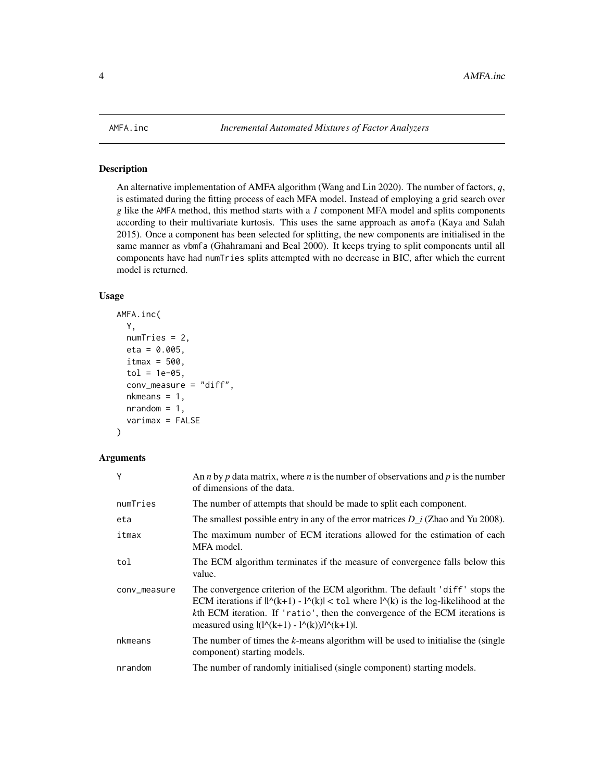<span id="page-3-0"></span>

#### Description

An alternative implementation of AMFA algorithm (Wang and Lin 2020). The number of factors, *q*, is estimated during the fitting process of each MFA model. Instead of employing a grid search over *g* like the AMFA method, this method starts with a *1* component MFA model and splits components according to their multivariate kurtosis. This uses the same approach as amofa (Kaya and Salah 2015). Once a component has been selected for splitting, the new components are initialised in the same manner as vbmfa (Ghahramani and Beal 2000). It keeps trying to split components until all components have had numTries splits attempted with no decrease in BIC, after which the current model is returned.

#### Usage

```
AMFA.inc(
  Y,
  numTries = 2,
  eta = 0.005,
  itmax = 500,
  tol = 1e-05,conv_measure = "diff",
  nkmeans = 1,nrandom = 1,
  varimax = FALSE
)
```
#### Arguments

| Y            | An <i>n</i> by <i>p</i> data matrix, where <i>n</i> is the number of observations and <i>p</i> is the number<br>of dimensions of the data.                                                                                                                                                                                              |
|--------------|-----------------------------------------------------------------------------------------------------------------------------------------------------------------------------------------------------------------------------------------------------------------------------------------------------------------------------------------|
| numTries     | The number of attempts that should be made to split each component.                                                                                                                                                                                                                                                                     |
| eta          | The smallest possible entry in any of the error matrices $D_i$ (Zhao and Yu 2008).                                                                                                                                                                                                                                                      |
| itmax        | The maximum number of ECM iterations allowed for the estimation of each<br>MFA model.                                                                                                                                                                                                                                                   |
| tol          | The ECM algorithm terminates if the measure of convergence falls below this<br>value.                                                                                                                                                                                                                                                   |
| conv_measure | The convergence criterion of the ECM algorithm. The default 'diff' stops the<br>ECM iterations if $\frac{ N(k+1) - N(k) }{\epsilon}$ tol where $\frac{ N(k) }{\epsilon}$ is the log-likelihood at the<br>kth ECM iteration. If 'ratio', then the convergence of the ECM iterations is<br>measured using $ (10(k+1) - 10(k))/10(k+1) $ . |
| nkmeans      | The number of times the k-means algorithm will be used to initialise the (single<br>component) starting models.                                                                                                                                                                                                                         |
| nrandom      | The number of randomly initialised (single component) starting models.                                                                                                                                                                                                                                                                  |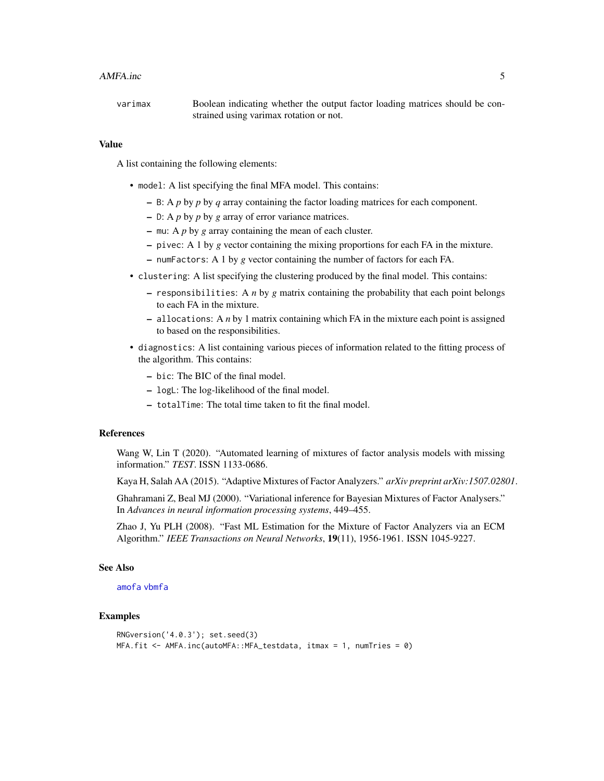#### <span id="page-4-0"></span>AMFA.inc 5

varimax Boolean indicating whether the output factor loading matrices should be constrained using varimax rotation or not.

#### Value

A list containing the following elements:

- model: A list specifying the final MFA model. This contains:
	- B: A *p* by *p* by *q* array containing the factor loading matrices for each component.
	- D: A *p* by *p* by *g* array of error variance matrices.
	- mu: A *p* by *g* array containing the mean of each cluster.
	- pivec: A 1 by *g* vector containing the mixing proportions for each FA in the mixture.
	- numFactors: A 1 by *g* vector containing the number of factors for each FA.
- clustering: A list specifying the clustering produced by the final model. This contains:
	- responsibilities: A *n* by *g* matrix containing the probability that each point belongs to each FA in the mixture.
	- allocations: A *n* by 1 matrix containing which FA in the mixture each point is assigned to based on the responsibilities.
- diagnostics: A list containing various pieces of information related to the fitting process of the algorithm. This contains:
	- bic: The BIC of the final model.
	- logL: The log-likelihood of the final model.
	- totalTime: The total time taken to fit the final model.

#### References

Wang W, Lin T (2020). "Automated learning of mixtures of factor analysis models with missing information." *TEST*. ISSN 1133-0686.

Kaya H, Salah AA (2015). "Adaptive Mixtures of Factor Analyzers." *arXiv preprint arXiv:1507.02801*.

Ghahramani Z, Beal MJ (2000). "Variational inference for Bayesian Mixtures of Factor Analysers." In *Advances in neural information processing systems*, 449–455.

Zhao J, Yu PLH (2008). "Fast ML Estimation for the Mixture of Factor Analyzers via an ECM Algorithm." *IEEE Transactions on Neural Networks*, 19(11), 1956-1961. ISSN 1045-9227.

#### See Also

#### [amofa](#page-5-1) [vbmfa](#page-9-1)

```
RNGversion('4.0.3'); set.seed(3)
MFA.fit <- AMFA.inc(autoMFA::MFA_testdata, itmax = 1, numTries = 0)
```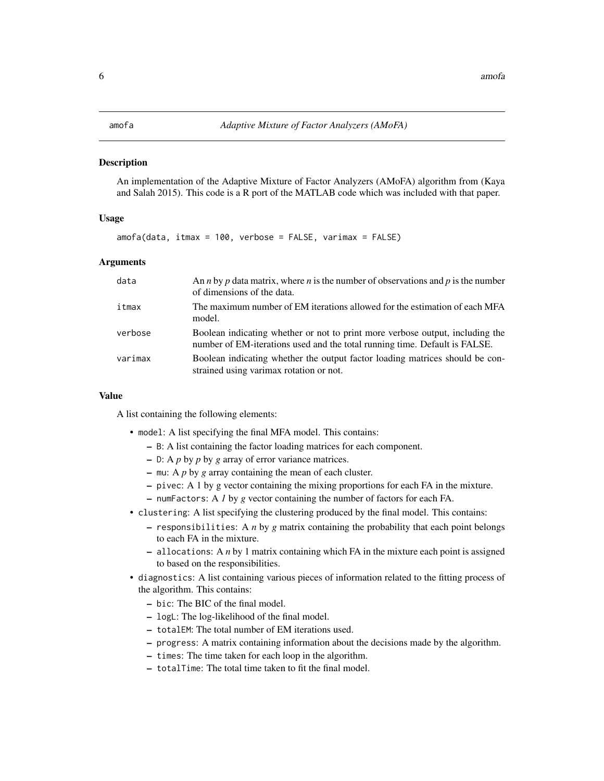#### <span id="page-5-1"></span><span id="page-5-0"></span>Description

An implementation of the Adaptive Mixture of Factor Analyzers (AMoFA) algorithm from (Kaya and Salah 2015). This code is a R port of the MATLAB code which was included with that paper.

#### Usage

amofa(data, itmax = 100, verbose = FALSE, varimax = FALSE)

#### Arguments

| data    | An <i>n</i> by <i>p</i> data matrix, where <i>n</i> is the number of observations and <i>p</i> is the number<br>of dimensions of the data.                  |
|---------|-------------------------------------------------------------------------------------------------------------------------------------------------------------|
| itmax   | The maximum number of EM iterations allowed for the estimation of each MFA<br>model.                                                                        |
| verbose | Boolean indicating whether or not to print more verbose output, including the<br>number of EM-iterations used and the total running time. Default is FALSE. |
| varimax | Boolean indicating whether the output factor loading matrices should be con-<br>strained using varimax rotation or not.                                     |

#### Value

A list containing the following elements:

- model: A list specifying the final MFA model. This contains:
	- B: A list containing the factor loading matrices for each component.
	- D: A *p* by *p* by *g* array of error variance matrices.
	- mu: A *p* by *g* array containing the mean of each cluster.
	- pivec: A 1 by g vector containing the mixing proportions for each FA in the mixture.
	- numFactors: A *1* by *g* vector containing the number of factors for each FA.
- clustering: A list specifying the clustering produced by the final model. This contains:
	- responsibilities: A *n* by *g* matrix containing the probability that each point belongs to each FA in the mixture.
	- allocations: A *n* by 1 matrix containing which FA in the mixture each point is assigned to based on the responsibilities.
- diagnostics: A list containing various pieces of information related to the fitting process of the algorithm. This contains:
	- bic: The BIC of the final model.
	- logL: The log-likelihood of the final model.
	- totalEM: The total number of EM iterations used.
	- progress: A matrix containing information about the decisions made by the algorithm.
	- times: The time taken for each loop in the algorithm.
	- totalTime: The total time taken to fit the final model.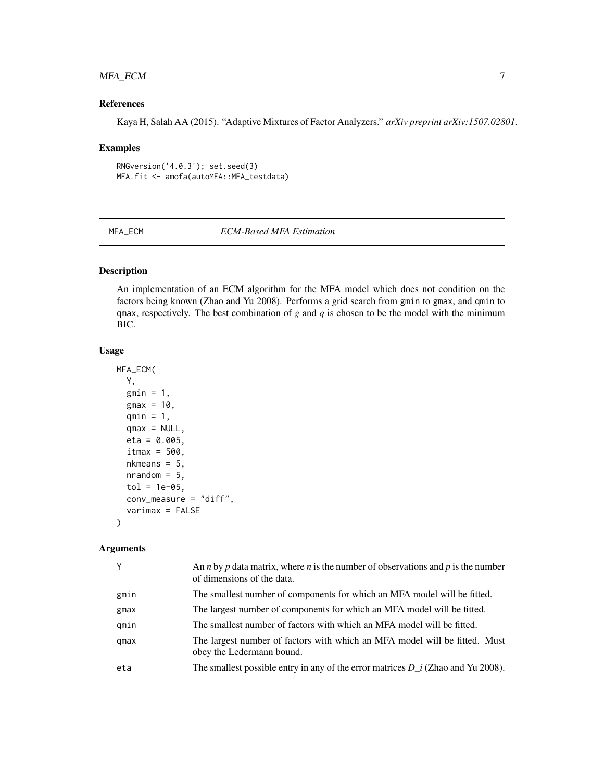#### <span id="page-6-0"></span>MFA\_ECM 7

### References

Kaya H, Salah AA (2015). "Adaptive Mixtures of Factor Analyzers." *arXiv preprint arXiv:1507.02801*.

#### Examples

```
RNGversion('4.0.3'); set.seed(3)
MFA.fit <- amofa(autoMFA::MFA_testdata)
```
MFA\_ECM *ECM-Based MFA Estimation*

#### Description

An implementation of an ECM algorithm for the MFA model which does not condition on the factors being known (Zhao and Yu 2008). Performs a grid search from gmin to gmax, and qmin to qmax, respectively. The best combination of  $g$  and  $q$  is chosen to be the model with the minimum BIC.

#### Usage

```
MFA_ECM(
  Y,
  gmin = 1,
 gmax = 10,
  qmin = 1,
  qmax = NULL,eta = 0.005,
  itmax = 500,
  nkmeans = 5,
  nrandom = 5,
  tol = 1e-05,conv_measure = "diff",
  varimax = FALSE
)
```
#### Arguments

| Y    | An <i>n</i> by <i>p</i> data matrix, where <i>n</i> is the number of observations and <i>p</i> is the number<br>of dimensions of the data. |
|------|--------------------------------------------------------------------------------------------------------------------------------------------|
| gmin | The smallest number of components for which an MFA model will be fitted.                                                                   |
| gmax | The largest number of components for which an MFA model will be fitted.                                                                    |
| qmin | The smallest number of factors with which an MFA model will be fitted.                                                                     |
| qmax | The largest number of factors with which an MFA model will be fitted. Must<br>obey the Ledermann bound.                                    |
| eta  | The smallest possible entry in any of the error matrices $D_i$ (Zhao and Yu 2008).                                                         |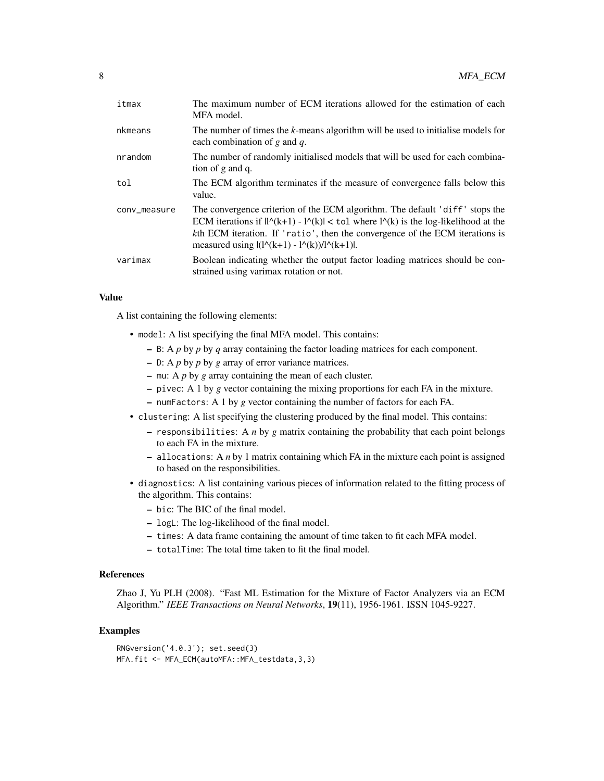| itmax        | The maximum number of ECM iterations allowed for the estimation of each<br>MFA model.                                                                                                                                                                                                                                                  |
|--------------|----------------------------------------------------------------------------------------------------------------------------------------------------------------------------------------------------------------------------------------------------------------------------------------------------------------------------------------|
| nkmeans      | The number of times the k-means algorithm will be used to initialise models for<br>each combination of $g$ and $q$ .                                                                                                                                                                                                                   |
| nrandom      | The number of randomly initialised models that will be used for each combina-<br>tion of g and q.                                                                                                                                                                                                                                      |
| tol          | The ECM algorithm terminates if the measure of convergence falls below this<br>value.                                                                                                                                                                                                                                                  |
| conv_measure | The convergence criterion of the ECM algorithm. The default 'diff' stops the<br>ECM iterations if $ l^{\wedge}(k+1) - l^{\wedge}(k)  < \text{tol}$ where $l^{\wedge}(k)$ is the log-likelihood at the<br>kth ECM iteration. If 'ratio', then the convergence of the ECM iterations is<br>measured using $ (1(A+1) - 1(A)) / 1(A+1) $ . |
| varimax      | Boolean indicating whether the output factor loading matrices should be con-<br>strained using varimax rotation or not.                                                                                                                                                                                                                |

#### Value

A list containing the following elements:

- model: A list specifying the final MFA model. This contains:
	- B: A *p* by *p* by *q* array containing the factor loading matrices for each component.
	- D: A *p* by *p* by *g* array of error variance matrices.
	- mu: A *p* by *g* array containing the mean of each cluster.
	- pivec: A 1 by *g* vector containing the mixing proportions for each FA in the mixture.
	- numFactors: A 1 by *g* vector containing the number of factors for each FA.
- clustering: A list specifying the clustering produced by the final model. This contains:
	- responsibilities: A *n* by *g* matrix containing the probability that each point belongs to each FA in the mixture.
	- allocations: A *n* by 1 matrix containing which FA in the mixture each point is assigned to based on the responsibilities.
- diagnostics: A list containing various pieces of information related to the fitting process of the algorithm. This contains:
	- bic: The BIC of the final model.
	- logL: The log-likelihood of the final model.
	- times: A data frame containing the amount of time taken to fit each MFA model.
	- totalTime: The total time taken to fit the final model.

### References

Zhao J, Yu PLH (2008). "Fast ML Estimation for the Mixture of Factor Analyzers via an ECM Algorithm." *IEEE Transactions on Neural Networks*, 19(11), 1956-1961. ISSN 1045-9227.

```
RNGversion('4.0.3'); set.seed(3)
MFA.fit <- MFA_ECM(autoMFA::MFA_testdata,3,3)
```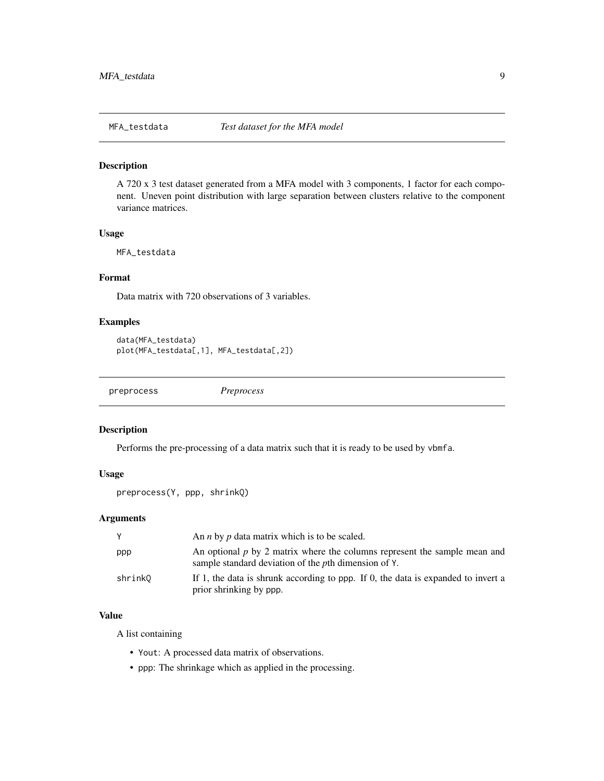<span id="page-8-0"></span>

#### Description

A 720 x 3 test dataset generated from a MFA model with 3 components, 1 factor for each component. Uneven point distribution with large separation between clusters relative to the component variance matrices.

#### Usage

MFA\_testdata

### Format

Data matrix with 720 observations of 3 variables.

#### Examples

```
data(MFA_testdata)
plot(MFA_testdata[,1], MFA_testdata[,2])
```
<span id="page-8-1"></span>preprocess *Preprocess*

#### Description

Performs the pre-processing of a data matrix such that it is ready to be used by vbmfa.

#### Usage

```
preprocess(Y, ppp, shrinkQ)
```
#### Arguments

|         | An <i>n</i> by <i>p</i> data matrix which is to be scaled.                                                                                  |
|---------|---------------------------------------------------------------------------------------------------------------------------------------------|
| ppp     | An optional $p$ by 2 matrix where the columns represent the sample mean and<br>sample standard deviation of the <i>p</i> th dimension of Y. |
| shrinkQ | If 1, the data is shrunk according to ppp. If 0, the data is expanded to invert a<br>prior shrinking by ppp.                                |

#### Value

A list containing

- Yout: A processed data matrix of observations.
- ppp: The shrinkage which as applied in the processing.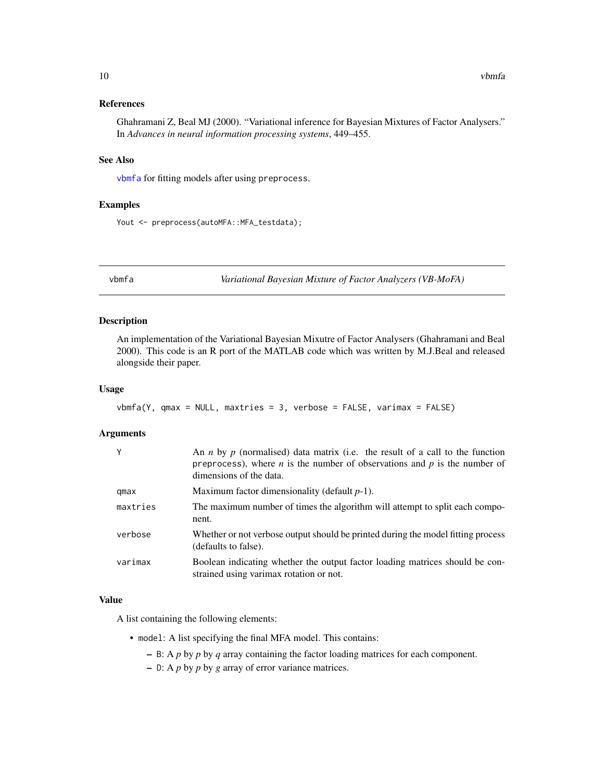#### <span id="page-9-0"></span>References

Ghahramani Z, Beal MJ (2000). "Variational inference for Bayesian Mixtures of Factor Analysers." In *Advances in neural information processing systems*, 449–455.

#### See Also

[vbmfa](#page-9-1) for fitting models after using preprocess.

#### Examples

Yout <- preprocess(autoMFA::MFA\_testdata);

<span id="page-9-1"></span>vbmfa *Variational Bayesian Mixture of Factor Analyzers (VB-MoFA)*

#### Description

An implementation of the Variational Bayesian Mixutre of Factor Analysers (Ghahramani and Beal 2000). This code is an R port of the MATLAB code which was written by M.J.Beal and released alongside their paper.

#### Usage

```
vbmfa(Y, qmax = NULL, maxtries = 3, verbose = FALSE, varimax = FALSE)
```
#### Arguments

| Y        | An <i>n</i> by <i>p</i> (normalised) data matrix (i.e. the result of a call to the function<br>preprocess), where <i>n</i> is the number of observations and $p$ is the number of<br>dimensions of the data. |
|----------|--------------------------------------------------------------------------------------------------------------------------------------------------------------------------------------------------------------|
| qmax     | Maximum factor dimensionality (default $p-1$ ).                                                                                                                                                              |
| maxtries | The maximum number of times the algorithm will attempt to split each compo-<br>nent.                                                                                                                         |
| verbose  | Whether or not verbose output should be printed during the model fitting process<br>(defaults to false).                                                                                                     |
| varimax  | Boolean indicating whether the output factor loading matrices should be con-<br>strained using varimax rotation or not.                                                                                      |

#### Value

A list containing the following elements:

- model: A list specifying the final MFA model. This contains:
	- B: A *p* by *p* by *q* array containing the factor loading matrices for each component.
	- D: A *p* by *p* by *g* array of error variance matrices.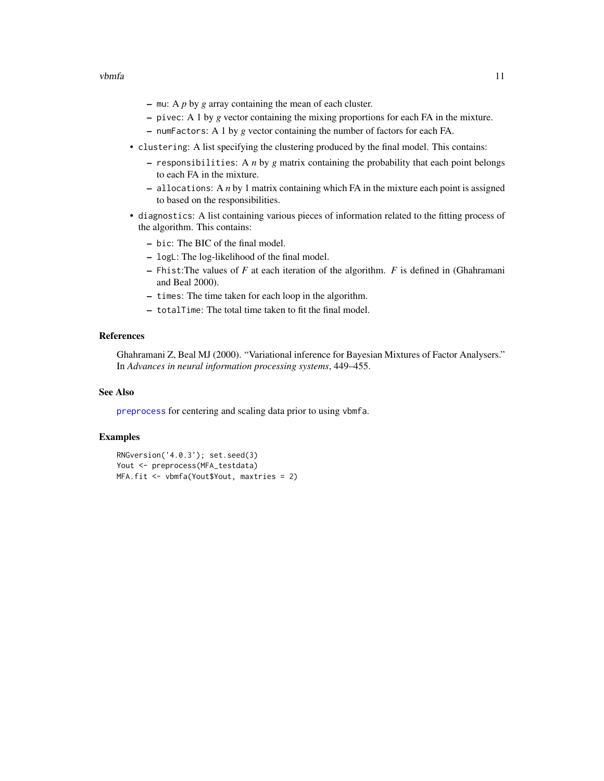- <span id="page-10-0"></span>– mu: A *p* by *g* array containing the mean of each cluster.
- pivec: A 1 by *g* vector containing the mixing proportions for each FA in the mixture.
- numFactors: A 1 by *g* vector containing the number of factors for each FA.
- clustering: A list specifying the clustering produced by the final model. This contains:
	- responsibilities: A *n* by *g* matrix containing the probability that each point belongs to each FA in the mixture.
	- allocations: A *n* by 1 matrix containing which FA in the mixture each point is assigned to based on the responsibilities.
- diagnostics: A list containing various pieces of information related to the fitting process of the algorithm. This contains:
	- bic: The BIC of the final model.
	- logL: The log-likelihood of the final model.
	- Fhist:The values of *F* at each iteration of the algorithm. *F* is defined in (Ghahramani and Beal 2000).
	- times: The time taken for each loop in the algorithm.
	- totalTime: The total time taken to fit the final model.

### References

Ghahramani Z, Beal MJ (2000). "Variational inference for Bayesian Mixtures of Factor Analysers." In *Advances in neural information processing systems*, 449–455.

#### See Also

[preprocess](#page-8-1) for centering and scaling data prior to using vbmfa.

```
RNGversion('4.0.3'); set.seed(3)
Yout <- preprocess(MFA_testdata)
MFA.fit <- vbmfa(Yout$Yout, maxtries = 2)
```